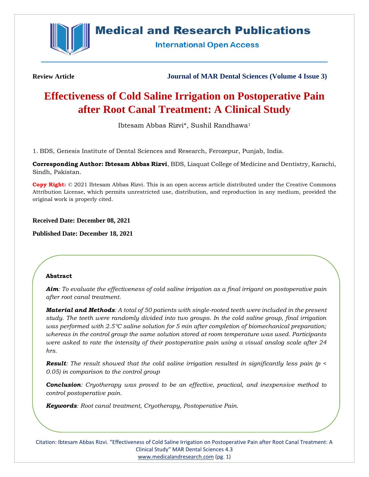

## **Medical and Research Publications**

**International Open Access** 

**Review Article Journal of MAR Dental Sciences (Volume 4 Issue 3)**

# **Effectiveness of Cold Saline Irrigation on Postoperative Pain after Root Canal Treatment: A Clinical Study**

Ibtesam Abbas Rizvi\*, Sushil Randhawa<sup>1</sup>

1. BDS, Genesis Institute of Dental Sciences and Research, Ferozepur, Punjab, India.

**Corresponding Author: Ibtesam Abbas Rizvi**, BDS, Liaquat College of Medicine and Dentistry, Karachi, Sindh, Pakistan.

**Copy Right:** © 2021 Ibtesam Abbas Rizvi. This is an open access article distributed under the Creative Commons Attribution License, which permits unrestricted use, distribution, and reproduction in any medium, provided the original work is properly cited.

## **Received Date: December 08, 2021**

**Published Date: December 18, 2021**

## **Abstract**

*Aim: To evaluate the effectiveness of cold saline irrigation as a final irrigant on postoperative pain after root canal treatment.*

*Material and Methods: A total of 50 patients with single-rooted teeth were included in the present study. The teeth were randomly divided into two groups. In the cold saline group, final irrigation was performed with 2.5°C saline solution for 5 min after completion of biomechanical preparation; whereas in the control group the same solution stored at room temperature was used. Participants were asked to rate the intensity of their postoperative pain using a visual analog scale after 24 hrs.*

*Result: The result showed that the cold saline irrigation resulted in significantly less pain (p < 0.05) in comparison to the control group*

*Conclusion: Cryotherapy was proved to be an effective, practical, and inexpensive method to control postoperative pain.*

*Keywords: Root canal treatment, Cryotherapy, Postoperative Pain.*

Citation: Ibtesam Abbas Rizvi. "Effectiveness of Cold Saline Irrigation on Postoperative Pain after Root Canal Treatment: A Clinical Study" MAR Dental Sciences 4.3 [www.medicalandresearch.com](http://www.medicalandresearch.com/) (pg. 1)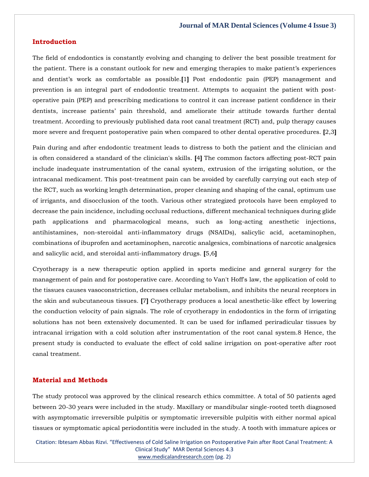## **Introduction**

The field of endodontics is constantly evolving and changing to deliver the best possible treatment for the patient. There is a constant outlook for new and emerging therapies to make patient's experiences and dentist's work as comfortable as possible.**[**1**]** Post endodontic pain (PEP) management and prevention is an integral part of endodontic treatment. Attempts to acquaint the patient with postoperative pain (PEP) and prescribing medications to control it can increase patient confidence in their dentists, increase patients' pain threshold, and ameliorate their attitude towards further dental treatment. According to previously published data root canal treatment (RCT) and, pulp therapy causes more severe and frequent postoperative pain when compared to other dental operative procedures. **[**2,3**]**

Pain during and after endodontic treatment leads to distress to both the patient and the clinician and is often considered a standard of the clinician's skills. **[**4**]** The common factors affecting post-RCT pain include inadequate instrumentation of the canal system, extrusion of the irrigating solution, or the intracanal medicament. This post-treatment pain can be avoided by carefully carrying out each step of the RCT, such as working length determination, proper cleaning and shaping of the canal, optimum use of irrigants, and disocclusion of the tooth. Various other strategized protocols have been employed to decrease the pain incidence, including occlusal reductions, different mechanical techniques during glide path applications and pharmacological means, such as long-acting anesthetic injections, antihistamines, non-steroidal anti-inflammatory drugs (NSAIDs), salicylic acid, acetaminophen, combinations of ibuprofen and acetaminophen, narcotic analgesics, combinations of narcotic analgesics and salicylic acid, and steroidal anti-inflammatory drugs. **[**5,6**]**

Cryotherapy is a new therapeutic option applied in sports medicine and general surgery for the management of pain and for postoperative care. According to Van't Hoff's law, the application of cold to the tissues causes vasoconstriction, decreases cellular metabolism, and inhibits the neural receptors in the skin and subcutaneous tissues. **[**7**]** Cryotherapy produces a local anesthetic-like effect by lowering the conduction velocity of pain signals. The role of cryotherapy in endodontics in the form of irrigating solutions has not been extensively documented. It can be used for inflamed periradicular tissues by intracanal irrigation with a cold solution after instrumentation of the root canal system.8 Hence, the present study is conducted to evaluate the effect of cold saline irrigation on post-operative after root canal treatment.

## **Material and Methods**

The study protocol was approved by the clinical research ethics committee. A total of 50 patients aged between 20-30 years were included in the study. Maxillary or mandibular single-rooted teeth diagnosed with asymptomatic irreversible pulpitis or symptomatic irreversible pulpitis with either normal apical tissues or symptomatic apical periodontitis were included in the study. A tooth with immature apices or

Citation: Ibtesam Abbas Rizvi. "Effectiveness of Cold Saline Irrigation on Postoperative Pain after Root Canal Treatment: A Clinical Study" MAR Dental Sciences 4.3 [www.medicalandresearch.com](http://www.medicalandresearch.com/) (pg. 2)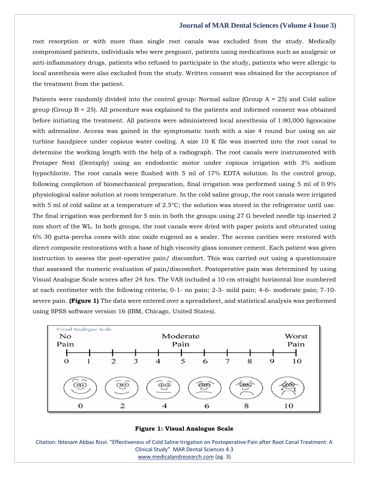### **Journal of MAR Dental Sciences (Volume 4 Issue 3)**

root resorption or with more than single root canals was excluded from the study. Medically compromised patients, individuals who were pregnant, patients using medications such as analgesic or anti-inflammatory drugs, patients who refused to participate in the study, patients who were allergic to local anesthesia were also excluded from the study. Written consent was obtained for the acceptance of the treatment from the patient.

Patients were randomly divided into the control group: Normal saline (Group  $A = 25$ ) and Cold saline group (Group  $B = 25$ ). All procedure was explained to the patients and informed consent was obtained before initiating the treatment. All patients were administered local anesthesia of 1:80,000 lignocaine with adrenaline. Access was gained in the symptomatic tooth with a size 4 round bur using an air turbine handpiece under copious water cooling. A size 10 K file was inserted into the root canal to determine the working length with the help of a radiograph. The root canals were instrumented with Protaper Next (Dentsply) using an endodontic motor under copious irrigation with 3% sodium hypochlorite. The root canals were flushed with 5 ml of 17% EDTA solution. In the control group, following completion of biomechanical preparation, final irrigation was performed using 5 ml of 0.9% physiological saline solution at room temperature. In the cold saline group, the root canals were irrigated with 5 ml of cold saline at a temperature of 2.5°C; the solution was stored in the refrigerator until use. The final irrigation was performed for 5 min in both the groups using 27 G beveled needle tip inserted 2 mm short of the WL. In both groups, the root canals were dried with paper points and obturated using 6% 30 gutta-percha cones with zinc oxide eugenol as a sealer. The access cavities were restored with direct composite restorations with a base of high viscosity glass ionomer cement. Each patient was given instruction to assess the post-operative pain/ discomfort. This was carried out using a questionnaire that assessed the numeric evaluation of pain/discomfort. Postoperative pain was determined by using Visual Analogue Scale scores after 24 hrs. The VAS included a 10 cm straight horizontal line numbered at each centimeter with the following criteria; 0-1- no pain; 2-3- mild pain; 4-6- moderate pain; 7-10 severe pain. **(Figure 1)** The data were entered over a spreadsheet, and statistical analysis was performed using SPSS software version 16 (IBM, Chicago, United States).



#### **Figure 1: Visual Analogue Scale**

Citation: Ibtesam Abbas Rizvi. "Effectiveness of Cold Saline Irrigation on Postoperative Pain after Root Canal Treatment: A Clinical Study" MAR Dental Sciences 4.3 [www.medicalandresearch.com](http://www.medicalandresearch.com/) (pg. 3)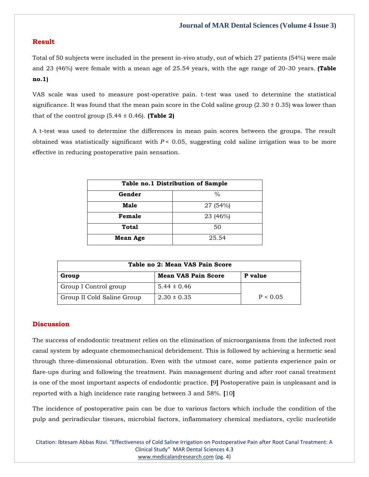## **Result**

Total of 50 subjects were included in the present in-vivo study, out of which 27 patients (54%) were male and 23 (46%) were female with a mean age of 25.54 years, with the age range of 20-30 years. **(Table no.1)**

VAS scale was used to measure post-operative pain. t-test was used to determine the statistical significance. It was found that the mean pain score in the Cold saline group  $(2.30 \pm 0.35)$  was lower than that of the control group  $(5.44 \pm 0.46)$ . **(Table 2)** 

A t-test was used to determine the differences in mean pain scores between the groups. The result obtained was statistically significant with  $P < 0.05$ , suggesting cold saline irrigation was to be more effective in reducing postoperative pain sensation.

| Table no.1 Distribution of Sample |          |  |
|-----------------------------------|----------|--|
| Gender                            | $\%$     |  |
| Male                              | 27 (54%) |  |
| Female                            | 23 (46%) |  |
| <b>Total</b>                      | 50       |  |
| <b>Mean Age</b>                   | 25.54    |  |

| Table no 2: Mean VAS Pain Score |                            |          |
|---------------------------------|----------------------------|----------|
| Group                           | <b>Mean VAS Pain Score</b> | P value  |
| Group I Control group           | $5.44 \pm 0.46$            |          |
| Group II Cold Saline Group      | $2.30 \pm 0.35$            | P < 0.05 |

## **Discussion**

The success of endodontic treatment relies on the elimination of microorganisms from the infected root canal system by adequate chemomechanical debridement. This is followed by achieving a hermetic seal through three-dimensional obturation. Even with the utmost care, some patients experience pain or flare-ups during and following the treatment. Pain management during and after root canal treatment is one of the most important aspects of endodontic practice. **[**9**]** Postoperative pain is unpleasant and is reported with a high incidence rate ranging between 3 and 58%. **[**10**]**

The incidence of postoperative pain can be due to various factors which include the condition of the pulp and periradicular tissues, microbial factors, inflammatory chemical mediators, cyclic nucleotide

Citation: Ibtesam Abbas Rizvi. "Effectiveness of Cold Saline Irrigation on Postoperative Pain after Root Canal Treatment: A Clinical Study" MAR Dental Sciences 4.3 [www.medicalandresearch.com](http://www.medicalandresearch.com/) (pg. 4)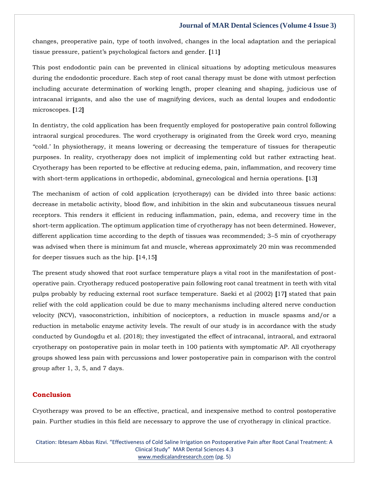## **Journal of MAR Dental Sciences (Volume 4 Issue 3)**

changes, preoperative pain, type of tooth involved, changes in the local adaptation and the periapical tissue pressure, patient's psychological factors and gender. **[**11**]**

This post endodontic pain can be prevented in clinical situations by adopting meticulous measures during the endodontic procedure. Each step of root canal therapy must be done with utmost perfection including accurate determination of working length, proper cleaning and shaping, judicious use of intracanal irrigants, and also the use of magnifying devices, such as dental loupes and endodontic microscopes. **[**12**]**

In dentistry, the cold application has been frequently employed for postoperative pain control following intraoral surgical procedures. The word cryotherapy is originated from the Greek word cryo, meaning ''cold.' In physiotherapy, it means lowering or decreasing the temperature of tissues for therapeutic purposes. In reality, cryotherapy does not implicit of implementing cold but rather extracting heat. Cryotherapy has been reported to be effective at reducing edema, pain, inflammation, and recovery time with short-term applications in orthopedic, abdominal, gynecological and hernia operations. **[**13**]**

The mechanism of action of cold application (cryotherapy) can be divided into three basic actions: decrease in metabolic activity, blood flow, and inhibition in the skin and subcutaneous tissues neural receptors. This renders it efficient in reducing inflammation, pain, edema, and recovery time in the short-term application. The optimum application time of cryotherapy has not been determined. However, different application time according to the depth of tissues was recommended; 3–5 min of cryotherapy was advised when there is minimum fat and muscle, whereas approximately 20 min was recommended for deeper tissues such as the hip. **[**14,15**]**

The present study showed that root surface temperature plays a vital root in the manifestation of postoperative pain. Cryotherapy reduced postoperative pain following root canal treatment in teeth with vital pulps probably by reducing external root surface temperature. Saeki et al (2002) **[**17**]** stated that pain relief with the cold application could be due to many mechanisms including altered nerve conduction velocity (NCV), vasoconstriction, inhibition of nociceptors, a reduction in muscle spasms and/or a reduction in metabolic enzyme activity levels. The result of our study is in accordance with the study conducted by Gundogdu et al. (2018); they investigated the effect of intracanal, intraoral, and extraoral cryotherapy on postoperative pain in molar teeth in 100 patients with symptomatic AP. All cryotherapy groups showed less pain with percussions and lower postoperative pain in comparison with the control group after 1, 3, 5, and 7 days.

## **Conclusion**

Cryotherapy was proved to be an effective, practical, and inexpensive method to control postoperative pain. Further studies in this field are necessary to approve the use of cryotherapy in clinical practice.

Citation: Ibtesam Abbas Rizvi. "Effectiveness of Cold Saline Irrigation on Postoperative Pain after Root Canal Treatment: A Clinical Study" MAR Dental Sciences 4.3 [www.medicalandresearch.com](http://www.medicalandresearch.com/) (pg. 5)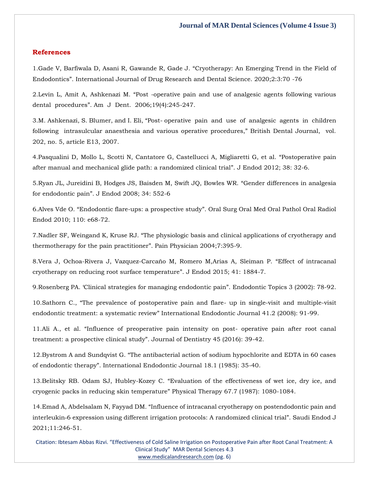#### **References**

1[.Gade V, Barfiwala D, Asani R, Gawande R, Gade J.](https://www.google.com/search?q=Cryotherapy%3A+An+Emerging+Trend+in+the+Field+of+Endodontics&sxsrf=AOaemvLG6xVlHIZ4PzavBA_Wd13ErDK5AQ%3A1639215778509&ei=onK0YcqZHvil2roP6eOqiA4&ved=0ahUKEwjK8r_Rutv0AhX4klYBHemxCuEQ4dUDCA4&uact=5&oq=Cryotherapy%3A+An+Emerging+Trend+in+the+Field+of+Endodontics&gs_lcp=Cgdnd3Mtd2l6EAMyBwgjEOoCECcyBwgjEOoCECcyBwgjEOoCECcyBwgjEOoCECcyBwgjEOoCECcyBwgjEOoCECcyBwgjEOoCECcyBwgjEOoCECcyBwgjEOoCECcyBwgjEOoCECdKBAhBGABKBAhGGABQswZYswZg7AhoAXAAeACAAQCIAQCSAQCYAQCgAQGgAQKwAQrAAQE&sclient=gws-wiz) "Cryotherapy: An Emerging Trend in the Field of Endodontics"[. International Journal of Drug Research and Dental Science. 2020;2:3:70 -76](https://www.google.com/search?q=Cryotherapy%3A+An+Emerging+Trend+in+the+Field+of+Endodontics&sxsrf=AOaemvLG6xVlHIZ4PzavBA_Wd13ErDK5AQ%3A1639215778509&ei=onK0YcqZHvil2roP6eOqiA4&ved=0ahUKEwjK8r_Rutv0AhX4klYBHemxCuEQ4dUDCA4&uact=5&oq=Cryotherapy%3A+An+Emerging+Trend+in+the+Field+of+Endodontics&gs_lcp=Cgdnd3Mtd2l6EAMyBwgjEOoCECcyBwgjEOoCECcyBwgjEOoCECcyBwgjEOoCECcyBwgjEOoCECcyBwgjEOoCECcyBwgjEOoCECcyBwgjEOoCECcyBwgjEOoCECcyBwgjEOoCECdKBAhBGABKBAhGGABQswZYswZg7AhoAXAAeACAAQCIAQCSAQCYAQCgAQGgAQKwAQrAAQE&sclient=gws-wiz)

2.Levin L, Amit A, Ashkenazi M. "[Post -operative pain and use of analgesic](https://www.google.com/search?q=Post+-operative+pain+and+use+of+analgesic+agents+following+various++dental++procedures&sxsrf=AOaemvIt0JYnsKl55yP-jEob12sl2YQGxA%3A1639217771489&ei=a3q0Yc-PHafb2roPyqGVUA&ved=0ahUKEwiP8emHwtv0AhWnrVYBHcpQBQoQ4dUDCA4&uact=5&oq=Post+-operative+pain+and+use+of+analgesic+agents+following+various++dental++procedures&gs_lcp=Cgdnd3Mtd2l6EAM6BwgjEOoCECdKBAhBGABKBAhGGABQpgVYpgVgxwdoAXACeACAAY4CiAGOApIBAzItMZgBAKABAaABArABCsABAQ&sclient=gws-wiz) agents following various dental procedures"[. Am J Dent. 2006;19\(4\):245-247.](https://www.google.com/search?q=Post+-operative+pain+and+use+of+analgesic+agents+following+various++dental++procedures&sxsrf=AOaemvIt0JYnsKl55yP-jEob12sl2YQGxA%3A1639217771489&ei=a3q0Yc-PHafb2roPyqGVUA&ved=0ahUKEwiP8emHwtv0AhWnrVYBHcpQBQoQ4dUDCA4&uact=5&oq=Post+-operative+pain+and+use+of+analgesic+agents+following+various++dental++procedures&gs_lcp=Cgdnd3Mtd2l6EAM6BwgjEOoCECdKBAhBGABKBAhGGABQpgVYpgVgxwdoAXACeACAAY4CiAGOApIBAzItMZgBAKABAaABArABCsABAQ&sclient=gws-wiz)

3.M. Ashkenazi, S. Blumer, and I. Eli, "Post- [operative pain and use of analgesic agents in children](https://www.google.com/search?q=Post-+operative++pain++and++use++of++analgesic++agents++in++children++following++intrasulcular+anaesthesia+and+various+operative+procedures&sxsrf=AOaemvKd-ivm760SG9zNkUwdAbNiCMVPOw%3A1639217790544&ei=fnq0YZfaIJ7c2roP4OqjcA&ved=0ahUKEwiXkfWQwtv0AhUerlYBHWD1CA4Q4dUDCA4&uact=5&oq=Post-+operative++pain++and++use++of++analgesic++agents++in++children++following++intrasulcular+anaesthesia+and+various+operative+procedures&gs_lcp=Cgdnd3Mtd2l6EAMyBwgjEOoCECcyBwgjEOoCECcyBwgjEOoCECcyBwgjEOoCECcyBwgjEOoCECcyBwgjEOoCECcyBwgjEOoCECcyBwgjEOoCECcyBwgjEOoCECcyBwgjEOoCECdKBAhBGABKBAhGGABQlgVYlgVgwgdoAXACeACAAQCIAQCSAQCYAQCgAQGgAQKwAQrAAQE&sclient=gws-wiz)  [following intrasulcular anaesthesia and various operative procedures," British Dental Journal, vol.](https://www.google.com/search?q=Post-+operative++pain++and++use++of++analgesic++agents++in++children++following++intrasulcular+anaesthesia+and+various+operative+procedures&sxsrf=AOaemvKd-ivm760SG9zNkUwdAbNiCMVPOw%3A1639217790544&ei=fnq0YZfaIJ7c2roP4OqjcA&ved=0ahUKEwiXkfWQwtv0AhUerlYBHWD1CA4Q4dUDCA4&uact=5&oq=Post-+operative++pain++and++use++of++analgesic++agents++in++children++following++intrasulcular+anaesthesia+and+various+operative+procedures&gs_lcp=Cgdnd3Mtd2l6EAMyBwgjEOoCECcyBwgjEOoCECcyBwgjEOoCECcyBwgjEOoCECcyBwgjEOoCECcyBwgjEOoCECcyBwgjEOoCECcyBwgjEOoCECcyBwgjEOoCECcyBwgjEOoCECdKBAhBGABKBAhGGABQlgVYlgVgwgdoAXACeACAAQCIAQCSAQCYAQCgAQGgAQKwAQrAAQE&sclient=gws-wiz)  [202, no. 5, article E13, 2007.](https://www.google.com/search?q=Post-+operative++pain++and++use++of++analgesic++agents++in++children++following++intrasulcular+anaesthesia+and+various+operative+procedures&sxsrf=AOaemvKd-ivm760SG9zNkUwdAbNiCMVPOw%3A1639217790544&ei=fnq0YZfaIJ7c2roP4OqjcA&ved=0ahUKEwiXkfWQwtv0AhUerlYBHWD1CA4Q4dUDCA4&uact=5&oq=Post-+operative++pain++and++use++of++analgesic++agents++in++children++following++intrasulcular+anaesthesia+and+various+operative+procedures&gs_lcp=Cgdnd3Mtd2l6EAMyBwgjEOoCECcyBwgjEOoCECcyBwgjEOoCECcyBwgjEOoCECcyBwgjEOoCECcyBwgjEOoCECcyBwgjEOoCECcyBwgjEOoCECcyBwgjEOoCECcyBwgjEOoCECdKBAhBGABKBAhGGABQlgVYlgVgwgdoAXACeACAAQCIAQCSAQCYAQCgAQGgAQKwAQrAAQE&sclient=gws-wiz)

4[.Pasqualini D, Mollo L, Scotti N, Cantatore G, Castellucci A, Migliaretti G, et al.](https://www.google.com/search?q=Postoperative+pain+after+manual+and+mechanical+glide+path%3A+a+randomized+clinical+trial&sxsrf=AOaemvIIEfR7xl0lpz0UUFhJnGDiAHnoaw%3A1639217806739&ei=jnq0YbL1K9Tn2roPhq694A8&ved=0ahUKEwiy9NCYwtv0AhXUs1YBHQZXD_wQ4dUDCA4&uact=5&oq=Postoperative+pain+after+manual+and+mechanical+glide+path%3A+a+randomized+clinical+trial&gs_lcp=Cgdnd3Mtd2l6EAM6BwgjEOoCECdKBAhBGABKBAhGGABQxAZYxAZgiAloAXAAeACAAeABiAHgAZIBAzItMZgBAKABAaABArABCsABAQ&sclient=gws-wiz) "Postoperative pain [after manual and mechanical glide path: a randomized clinical trial](https://www.google.com/search?q=Postoperative+pain+after+manual+and+mechanical+glide+path%3A+a+randomized+clinical+trial&sxsrf=AOaemvIIEfR7xl0lpz0UUFhJnGDiAHnoaw%3A1639217806739&ei=jnq0YbL1K9Tn2roPhq694A8&ved=0ahUKEwiy9NCYwtv0AhXUs1YBHQZXD_wQ4dUDCA4&uact=5&oq=Postoperative+pain+after+manual+and+mechanical+glide+path%3A+a+randomized+clinical+trial&gs_lcp=Cgdnd3Mtd2l6EAM6BwgjEOoCECdKBAhBGABKBAhGGABQxAZYxAZgiAloAXAAeACAAeABiAHgAZIBAzItMZgBAKABAaABArABCsABAQ&sclient=gws-wiz)". J Endod 2012; 38: 32-6.

5[.Ryan JL, Jureidini B, Hodges JS, Baisden M, Swift JQ, Bowles WR.](https://www.google.com/search?q=Gender+differences+in+analgesia+for+endodontic+pain&sxsrf=AOaemvK1dFw7bBEZjCLec0AFSUXAqYFhzQ%3A1639217862322&ei=xnq0YbXnEvLe2roPnuut-A4&ved=0ahUKEwi14pGzwtv0AhVyr1YBHZ51C-8Q4dUDCA4&uact=5&oq=Gender+differences+in+analgesia+for+endodontic+pain&gs_lcp=Cgdnd3Mtd2l6EAMyBwgjEOoCECcyBwgjEOoCECcyBwgjEOoCECcyBwgjEOoCECcyBwgjEOoCECcyBwgjEOoCECcyBwgjEOoCECcyBwgjEOoCECcyBwgjEOoCECcyBwgjEOoCECdKBAhBGABKBAhGGABQpwVYpwVgpwdoAXAAeACAAQCIAQCSAQCYAQCgAQGgAQKwAQrAAQE&sclient=gws-wiz) "Gender differences in analgesia for endodontic pain"[. J Endod 2008; 34: 552-6](https://www.google.com/search?q=Gender+differences+in+analgesia+for+endodontic+pain&sxsrf=AOaemvK1dFw7bBEZjCLec0AFSUXAqYFhzQ%3A1639217862322&ei=xnq0YbXnEvLe2roPnuut-A4&ved=0ahUKEwi14pGzwtv0AhVyr1YBHZ51C-8Q4dUDCA4&uact=5&oq=Gender+differences+in+analgesia+for+endodontic+pain&gs_lcp=Cgdnd3Mtd2l6EAMyBwgjEOoCECcyBwgjEOoCECcyBwgjEOoCECcyBwgjEOoCECcyBwgjEOoCECcyBwgjEOoCECcyBwgjEOoCECcyBwgjEOoCECcyBwgjEOoCECcyBwgjEOoCECdKBAhBGABKBAhGGABQpwVYpwVgpwdoAXAAeACAAQCIAQCSAQCYAQCgAQGgAQKwAQrAAQE&sclient=gws-wiz)

6.Alves Vde O. "Endodontic flare-ups: a prospective study"[. Oral Surg Oral Med Oral Pathol Oral Radiol](https://www.google.com/search?q=Endodontic+flare-ups%3A+a+prospective+study&sxsrf=AOaemvKpbDUZimvQVM_GT0sKW8go7VpMCA%3A1639217880394&ei=2Hq0YbibF6vf2roP3Pic-AM&ved=0ahUKEwi45-C7wtv0AhWrr1YBHVw8Bz8Q4dUDCA4&uact=5&oq=Endodontic+flare-ups%3A+a+prospective+study&gs_lcp=Cgdnd3Mtd2l6EAMyBwgjEOoCECcyBwgjEOoCECcyBwgjEOoCECcyBwgjEOoCECcyBwgjEOoCECcyBwgjEOoCECcyBwgjEOoCECcyBwgjEOoCECcyBwgjEOoCECcyBwgjEOoCECdKBAhBGABKBAhGGABQ8wVY8wVg3wdoAXAAeACAAQCIAQCSAQCYAQCgAQGgAQKwAQrAAQE&sclient=gws-wiz)  [Endod 2010; 110: e68-72.](https://www.google.com/search?q=Endodontic+flare-ups%3A+a+prospective+study&sxsrf=AOaemvKpbDUZimvQVM_GT0sKW8go7VpMCA%3A1639217880394&ei=2Hq0YbibF6vf2roP3Pic-AM&ved=0ahUKEwi45-C7wtv0AhWrr1YBHVw8Bz8Q4dUDCA4&uact=5&oq=Endodontic+flare-ups%3A+a+prospective+study&gs_lcp=Cgdnd3Mtd2l6EAMyBwgjEOoCECcyBwgjEOoCECcyBwgjEOoCECcyBwgjEOoCECcyBwgjEOoCECcyBwgjEOoCECcyBwgjEOoCECcyBwgjEOoCECcyBwgjEOoCECcyBwgjEOoCECdKBAhBGABKBAhGGABQ8wVY8wVg3wdoAXAAeACAAQCIAQCSAQCYAQCgAQGgAQKwAQrAAQE&sclient=gws-wiz)

7.Nadler SF, Weingand K, Kruse RJ. "[The physiologic basis and clinical applications of cryotherapy and](https://www.google.com/search?q=The+physiologic+basis+and+clinical+applications+of+cryotherapy+and+thermotherapy+for+the+pain+practitioner&sxsrf=AOaemvJcqrke8zzXohGqjRLBFKwY03LgRA%3A1639217895344&ei=53q0YdSuFJmm2roPtPie0A0&ved=0ahUKEwiUvvHCwtv0AhUZk1YBHTS8B9oQ4dUDCA4&uact=5&oq=The+physiologic+basis+and+clinical+applications+of+cryotherapy+and+thermotherapy+for+the+pain+practitioner&gs_lcp=Cgdnd3Mtd2l6EAMyBwgjEOoCECcyBwgjEOoCECcyBwgjEOoCECcyBwgjEOoCECcyBwgjEOoCECcyBwgjEOoCECcyBwgjEOoCECcyBwgjEOoCECcyBwgjEOoCECcyBwgjEOoCECdKBAhBGABKBAhGGABQiiJYiiJgzyVoAXACeACAAQCIAQCSAQCYAQCgAQGgAQKwAQrAAQE&sclient=gws-wiz)  [thermotherapy for the pain practitioner](https://www.google.com/search?q=The+physiologic+basis+and+clinical+applications+of+cryotherapy+and+thermotherapy+for+the+pain+practitioner&sxsrf=AOaemvJcqrke8zzXohGqjRLBFKwY03LgRA%3A1639217895344&ei=53q0YdSuFJmm2roPtPie0A0&ved=0ahUKEwiUvvHCwtv0AhUZk1YBHTS8B9oQ4dUDCA4&uact=5&oq=The+physiologic+basis+and+clinical+applications+of+cryotherapy+and+thermotherapy+for+the+pain+practitioner&gs_lcp=Cgdnd3Mtd2l6EAMyBwgjEOoCECcyBwgjEOoCECcyBwgjEOoCECcyBwgjEOoCECcyBwgjEOoCECcyBwgjEOoCECcyBwgjEOoCECcyBwgjEOoCECcyBwgjEOoCECcyBwgjEOoCECdKBAhBGABKBAhGGABQiiJYiiJgzyVoAXACeACAAQCIAQCSAQCYAQCgAQGgAQKwAQrAAQE&sclient=gws-wiz)". Pain Physician 2004;7:395-9.

8[.Vera J, Ochoa-Rivera J, Vazquez-Carcaño M, Romero M,Arias A, Sleiman P.](https://www.google.com/search?q=Effect+of+intracanal+cryotherapy+on+reducing+root+surface+temperature&sxsrf=AOaemvJ7-JaPQGZs6MfQfWXCoNbw6rnPTQ%3A1639217943024&ei=F3u0YcJc8ebaug-kk57oDw&ved=0ahUKEwiCxM_Zwtv0AhVxs1YBHaSJB_0Q4dUDCA4&uact=5&oq=Effect+of+intracanal+cryotherapy+on+reducing+root+surface+temperature&gs_lcp=Cgdnd3Mtd2l6EAMyBggAEBYQHjoHCCMQ6gIQJ0oECEEYAEoECEYYAFC4BVi4BWDUB2gBcAJ4AIAB8gGIAfIBkgEDMi0xmAEAoAEBoAECsAEKwAEB&sclient=gws-wiz) "Effect of intracanal [cryotherapy on reducing root surface temperature](https://www.google.com/search?q=Effect+of+intracanal+cryotherapy+on+reducing+root+surface+temperature&sxsrf=AOaemvJ7-JaPQGZs6MfQfWXCoNbw6rnPTQ%3A1639217943024&ei=F3u0YcJc8ebaug-kk57oDw&ved=0ahUKEwiCxM_Zwtv0AhVxs1YBHaSJB_0Q4dUDCA4&uact=5&oq=Effect+of+intracanal+cryotherapy+on+reducing+root+surface+temperature&gs_lcp=Cgdnd3Mtd2l6EAMyBggAEBYQHjoHCCMQ6gIQJ0oECEEYAEoECEYYAFC4BVi4BWDUB2gBcAJ4AIAB8gGIAfIBkgEDMi0xmAEAoAEBoAECsAEKwAEB&sclient=gws-wiz)". J Endod 2015; 41: 1884-7.

9.Rosenberg PA. '[Clinical strategies for managing endodontic pain](https://www.google.com/search?q=Clinical+strategies+for+managing+endodontic+pain&sxsrf=AOaemvJAD1LSJ6L8mTFOf9GESU3CIIJLXg%3A1639217958901&ei=Jnu0YZKSNtDm2roPp76D4Ao&ved=0ahUKEwiSvZjhwtv0AhVQs1YBHSffAKwQ4dUDCA4&uact=5&oq=Clinical+strategies+for+managing+endodontic+pain&gs_lcp=Cgdnd3Mtd2l6EAMyBQgAEIAEOgcIIxDqAhAnSgQIQRgASgQIRhgAUNwFWNwFYNYHaAFwAHgAgAHoAYgB6AGSAQMyLTGYAQCgAQGgAQKwAQrAAQE&sclient=gws-wiz)". Endodontic Topics 3 (2002): 78-92.

10.Sathorn C., "[The prevalence of postoperative pain and flare-](https://www.google.com/search?q=The+prevalence+of+postoperative+pain+and+flare-+up+in+single-visit+and+multiple-visit+endodontic+treatment%3A+a+systematic+review&sxsrf=AOaemvJq1rmy12VohJ2r6Pcw8dSWqbUgyw%3A1639217975812&ei=N3u0Yf_4MO7d2roPqu-K6Ac&ved=0ahUKEwi_8KDpwtv0AhXurlYBHaq3An0Q4dUDCA4&uact=5&oq=The+prevalence+of+postoperative+pain+and+flare-+up+in+single-visit+and+multiple-visit+endodontic+treatment%3A+a+systematic+review&gs_lcp=Cgdnd3Mtd2l6EAMyBwgjEOoCECcyBwgjEOoCECcyBwgjEOoCECcyBwgjEOoCECcyBwgjEOoCECcyBwgjEOoCECcyBwgjEOoCECcyBwgjEOoCECcyBwgjEOoCECcyBwgjEOoCECdKBAhBGABKBAhGGABQ3gVY3gVg3wdoAXAAeACAAQCIAQCSAQCYAQCgAQGgAQKwAQrAAQE&sclient=gws-wiz) up in single-visit and multiple-visit endodontic treatment: a systematic review" [International Endodontic Journal 41.2 \(2008\): 91-99.](https://www.google.com/search?q=The+prevalence+of+postoperative+pain+and+flare-+up+in+single-visit+and+multiple-visit+endodontic+treatment%3A+a+systematic+review&sxsrf=AOaemvJq1rmy12VohJ2r6Pcw8dSWqbUgyw%3A1639217975812&ei=N3u0Yf_4MO7d2roPqu-K6Ac&ved=0ahUKEwi_8KDpwtv0AhXurlYBHaq3An0Q4dUDCA4&uact=5&oq=The+prevalence+of+postoperative+pain+and+flare-+up+in+single-visit+and+multiple-visit+endodontic+treatment%3A+a+systematic+review&gs_lcp=Cgdnd3Mtd2l6EAMyBwgjEOoCECcyBwgjEOoCECcyBwgjEOoCECcyBwgjEOoCECcyBwgjEOoCECcyBwgjEOoCECcyBwgjEOoCECcyBwgjEOoCECcyBwgjEOoCECcyBwgjEOoCECdKBAhBGABKBAhGGABQ3gVY3gVg3wdoAXAAeACAAQCIAQCSAQCYAQCgAQGgAQKwAQrAAQE&sclient=gws-wiz)

11.Ali A., et al. "[Influence of preoperative pain intensity on post-](https://www.google.com/search?q=Influence+of+preoperative+pain+intensity+on+post-+operative+pain+after+root+canal+treatment%3A+a+prospective+clinical+study&sxsrf=AOaemvIhUAVx37faII9aI1mYGqVLCXFAgg%3A1639218006488&ei=Vnu0Yf6JHenk2roPqYaCiA4&ved=0ahUKEwj-jPH3wtv0AhVpslYBHSmDAOEQ4dUDCA4&uact=5&oq=Influence+of+preoperative+pain+intensity+on+post-+operative+pain+after+root+canal+treatment%3A+a+prospective+clinical+study&gs_lcp=Cgdnd3Mtd2l6EAMyBwgjEOoCECcyBwgjEOoCECcyBwgjEOoCECcyBwgjEOoCECcyBwgjEOoCECcyBwgjEOoCECcyBwgjEOoCECcyBwgjEOoCECcyBwgjEOoCECcyBwgjEOoCECdKBAhBGABKBAhGGABQzAVYzAVguAdoAXAAeACAAQCIAQCSAQCYAQCgAQGgAQKwAQrAAQE&sclient=gws-wiz) operative pain after root canal treatment: a [prospective clinical study". Journal of Dentistry 45 \(2016\): 39](https://www.google.com/search?q=Influence+of+preoperative+pain+intensity+on+post-+operative+pain+after+root+canal+treatment%3A+a+prospective+clinical+study&sxsrf=AOaemvIhUAVx37faII9aI1mYGqVLCXFAgg%3A1639218006488&ei=Vnu0Yf6JHenk2roPqYaCiA4&ved=0ahUKEwj-jPH3wtv0AhVpslYBHSmDAOEQ4dUDCA4&uact=5&oq=Influence+of+preoperative+pain+intensity+on+post-+operative+pain+after+root+canal+treatment%3A+a+prospective+clinical+study&gs_lcp=Cgdnd3Mtd2l6EAMyBwgjEOoCECcyBwgjEOoCECcyBwgjEOoCECcyBwgjEOoCECcyBwgjEOoCECcyBwgjEOoCECcyBwgjEOoCECcyBwgjEOoCECcyBwgjEOoCECcyBwgjEOoCECdKBAhBGABKBAhGGABQzAVYzAVguAdoAXAAeACAAQCIAQCSAQCYAQCgAQGgAQKwAQrAAQE&sclient=gws-wiz)-42.

12.Bystrom A and Sundqvist G. "[The antibacterial action of sodium hypochlorite and EDTA in 60 cases](https://www.google.com/search?q=The+antibacterial+action+of+sodium+hypochlorite+and+EDTA+in+60+cases+of+endodontic+therapy&sxsrf=AOaemvLiBL4uFCzPw4NDje_eJXzqotwiKQ%3A1639218043014&ei=e3u0YfAe3uTaug_-7KboDA&ved=0ahUKEwiwyKaJw9v0AhVeslYBHX62Cc0Q4dUDCA4&uact=5&oq=The+antibacterial+action+of+sodium+hypochlorite+and+EDTA+in+60+cases+of+endodontic+therapy&gs_lcp=Cgdnd3Mtd2l6EAMyBwgjEOoCECcyBwgjEOoCECcyBwgjEOoCECcyBwgjEOoCECcyBwgjEOoCECcyBwgjEOoCECcyBwgjEOoCECcyBwgjEOoCECcyBwgjEOoCECcyBwgjEOoCECdKBAhBGABKBAhGGABQxAVYxAVg9QdoAXAAeACAAQCIAQCSAQCYAQCgAQGgAQKwAQrAAQE&sclient=gws-wiz)  of e[ndodontic therapy". International Endodontic Journal 18.1 \(1985\): 35](https://www.google.com/search?q=The+antibacterial+action+of+sodium+hypochlorite+and+EDTA+in+60+cases+of+endodontic+therapy&sxsrf=AOaemvLiBL4uFCzPw4NDje_eJXzqotwiKQ%3A1639218043014&ei=e3u0YfAe3uTaug_-7KboDA&ved=0ahUKEwiwyKaJw9v0AhVeslYBHX62Cc0Q4dUDCA4&uact=5&oq=The+antibacterial+action+of+sodium+hypochlorite+and+EDTA+in+60+cases+of+endodontic+therapy&gs_lcp=Cgdnd3Mtd2l6EAMyBwgjEOoCECcyBwgjEOoCECcyBwgjEOoCECcyBwgjEOoCECcyBwgjEOoCECcyBwgjEOoCECcyBwgjEOoCECcyBwgjEOoCECcyBwgjEOoCECcyBwgjEOoCECdKBAhBGABKBAhGGABQxAVYxAVg9QdoAXAAeACAAQCIAQCSAQCYAQCgAQGgAQKwAQrAAQE&sclient=gws-wiz)-40.

13.Belitsky RB. Odam SJ, Hubley-Kozey C. "[Evaluation of the effectiveness of wet ice, dry ice, and](https://www.google.com/search?q=Evaluation+of+the+effectiveness+of+wet+ice%2C+dry+ice%2C+and+cryogenic+packs+in+reducing+skin+temperature&sxsrf=AOaemvLJdbXk7expvRgTqxnHVqrWIB6RrQ%3A1639218074385&ei=mnu0YZDBFvPh2roPt6mLgAQ&ved=0ahUKEwiQ9qCYw9v0AhXzsFYBHbfUAkAQ4dUDCA4&uact=5&oq=Evaluation+of+the+effectiveness+of+wet+ice%2C+dry+ice%2C+and+cryogenic+packs+in+reducing+skin+temperature&gs_lcp=Cgdnd3Mtd2l6EAMyBwgjEOoCECcyBwgjEOoCECcyBwgjEOoCECcyBwgjEOoCECcyBwgjEOoCECcyBwgjEOoCECcyBwgjEOoCECcyBwgjEOoCECcyBwgjEOoCECcyBwgjEOoCECdKBAhBGABKBAhGGABQrQVYrQVgpgdoAXACeACAAQCIAQCSAQCYAQCgAQGgAQKwAQrAAQE&sclient=gws-wiz)  [cryogenic packs in reducing skin temperature](https://www.google.com/search?q=Evaluation+of+the+effectiveness+of+wet+ice%2C+dry+ice%2C+and+cryogenic+packs+in+reducing+skin+temperature&sxsrf=AOaemvLJdbXk7expvRgTqxnHVqrWIB6RrQ%3A1639218074385&ei=mnu0YZDBFvPh2roPt6mLgAQ&ved=0ahUKEwiQ9qCYw9v0AhXzsFYBHbfUAkAQ4dUDCA4&uact=5&oq=Evaluation+of+the+effectiveness+of+wet+ice%2C+dry+ice%2C+and+cryogenic+packs+in+reducing+skin+temperature&gs_lcp=Cgdnd3Mtd2l6EAMyBwgjEOoCECcyBwgjEOoCECcyBwgjEOoCECcyBwgjEOoCECcyBwgjEOoCECcyBwgjEOoCECcyBwgjEOoCECcyBwgjEOoCECcyBwgjEOoCECcyBwgjEOoCECdKBAhBGABKBAhGGABQrQVYrQVgpgdoAXACeACAAQCIAQCSAQCYAQCgAQGgAQKwAQrAAQE&sclient=gws-wiz)" Physical Therapy 67.7 (1987): 1080-1084.

14.Emad A, Abdelsalam N, Fayyad DM. "[Influence of intracanal cryotherapy on postendodontic pain and](https://www.google.com/search?q=Influence+of+intracanal+cryotherapy+on+postendodontic+pain+and+interleukin%E2%80%916+expression+using+different+irrigation+protocols%3A+A+randomized+clinical+trial&sxsrf=AOaemvJ3JYPavd2rjno37k4NS0wSnM2sjQ%3A1639218096326&ei=sHu0YbeKE4Tn2roP6dmXsA4&ved=0ahUKEwi3otyiw9v0AhWEs1YBHensBeYQ4dUDCA4&uact=5&oq=Influence+of+intracanal+cryotherapy+on+postendodontic+pain+and+interleukin%E2%80%916+expression+using+different+irrigation+protocols%3A+A+randomized+clinical+trial&gs_lcp=Cgdnd3Mtd2l6EAMyBwgjEOoCECcyBwgjEOoCECcyBwgjEOoCECcyBwgjEOoCECcyBwgjEOoCECcyBwgjEOoCECcyBwgjEOoCECcyBwgjEOoCECcyBwgjEOoCECcyBwgjEOoCECdKBAhBGABKBAhGGABQ_gZY_gZgvgloAXAAeACAAQCIAQCSAQCYAQCgAQGgAQKwAQrAAQE&sclient=gws-wiz)  interleukin‑[6 expression using different irrigation protocols: A](https://www.google.com/search?q=Influence+of+intracanal+cryotherapy+on+postendodontic+pain+and+interleukin%E2%80%916+expression+using+different+irrigation+protocols%3A+A+randomized+clinical+trial&sxsrf=AOaemvJ3JYPavd2rjno37k4NS0wSnM2sjQ%3A1639218096326&ei=sHu0YbeKE4Tn2roP6dmXsA4&ved=0ahUKEwi3otyiw9v0AhWEs1YBHensBeYQ4dUDCA4&uact=5&oq=Influence+of+intracanal+cryotherapy+on+postendodontic+pain+and+interleukin%E2%80%916+expression+using+different+irrigation+protocols%3A+A+randomized+clinical+trial&gs_lcp=Cgdnd3Mtd2l6EAMyBwgjEOoCECcyBwgjEOoCECcyBwgjEOoCECcyBwgjEOoCECcyBwgjEOoCECcyBwgjEOoCECcyBwgjEOoCECcyBwgjEOoCECcyBwgjEOoCECcyBwgjEOoCECdKBAhBGABKBAhGGABQ_gZY_gZgvgloAXAAeACAAQCIAQCSAQCYAQCgAQGgAQKwAQrAAQE&sclient=gws-wiz) randomized clinical trial". Saudi Endod J [2021;11:246-51.](https://www.google.com/search?q=Influence+of+intracanal+cryotherapy+on+postendodontic+pain+and+interleukin%E2%80%916+expression+using+different+irrigation+protocols%3A+A+randomized+clinical+trial&sxsrf=AOaemvJ3JYPavd2rjno37k4NS0wSnM2sjQ%3A1639218096326&ei=sHu0YbeKE4Tn2roP6dmXsA4&ved=0ahUKEwi3otyiw9v0AhWEs1YBHensBeYQ4dUDCA4&uact=5&oq=Influence+of+intracanal+cryotherapy+on+postendodontic+pain+and+interleukin%E2%80%916+expression+using+different+irrigation+protocols%3A+A+randomized+clinical+trial&gs_lcp=Cgdnd3Mtd2l6EAMyBwgjEOoCECcyBwgjEOoCECcyBwgjEOoCECcyBwgjEOoCECcyBwgjEOoCECcyBwgjEOoCECcyBwgjEOoCECcyBwgjEOoCECcyBwgjEOoCECcyBwgjEOoCECdKBAhBGABKBAhGGABQ_gZY_gZgvgloAXAAeACAAQCIAQCSAQCYAQCgAQGgAQKwAQrAAQE&sclient=gws-wiz)

Citation: Ibtesam Abbas Rizvi. "Effectiveness of Cold Saline Irrigation on Postoperative Pain after Root Canal Treatment: A Clinical Study" MAR Dental Sciences 4.3 [www.medicalandresearch.com](http://www.medicalandresearch.com/) (pg. 6)